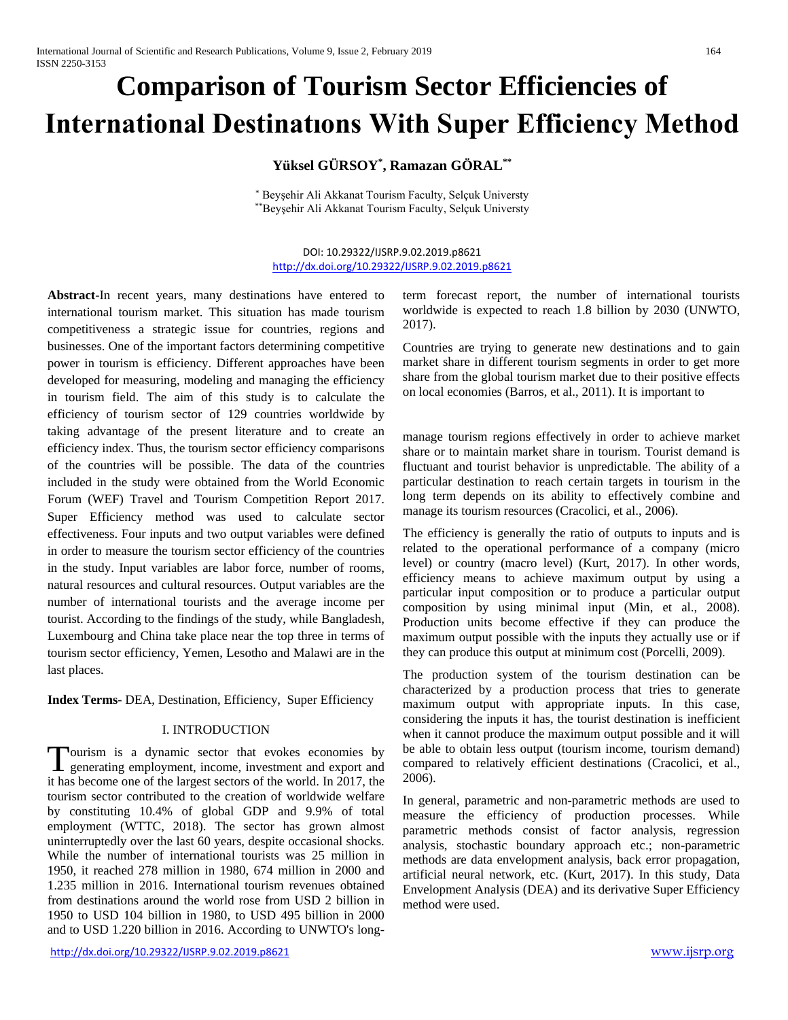# **Comparison of Tourism Sector Efficiencies of International Destinatıons With Super Efficiency Method**

# **Yüksel GÜRSOY\* , Ramazan GÖRAL\*\***

\* Beyşehir Ali Akkanat Tourism Faculty, Selçuk Universty \*\*Beyşehir Ali Akkanat Tourism Faculty, Selçuk Universty

DOI: 10.29322/IJSRP.9.02.2019.p8621 <http://dx.doi.org/10.29322/IJSRP.9.02.2019.p8621>

**Abstract-**In recent years, many destinations have entered to international tourism market. This situation has made tourism competitiveness a strategic issue for countries, regions and businesses. One of the important factors determining competitive power in tourism is efficiency. Different approaches have been developed for measuring, modeling and managing the efficiency in tourism field. The aim of this study is to calculate the efficiency of tourism sector of 129 countries worldwide by taking advantage of the present literature and to create an efficiency index. Thus, the tourism sector efficiency comparisons of the countries will be possible. The data of the countries included in the study were obtained from the World Economic Forum (WEF) Travel and Tourism Competition Report 2017. Super Efficiency method was used to calculate sector effectiveness. Four inputs and two output variables were defined in order to measure the tourism sector efficiency of the countries in the study. Input variables are labor force, number of rooms, natural resources and cultural resources. Output variables are the number of international tourists and the average income per tourist. According to the findings of the study, while Bangladesh, Luxembourg and China take place near the top three in terms of tourism sector efficiency, Yemen, Lesotho and Malawi are in the last places.

**Index Terms-** DEA, Destination, Efficiency, Super Efficiency

## I. INTRODUCTION

ourism is a dynamic sector that evokes economies by Tourism is a dynamic sector that evokes economies by generating employment, income, investment and export and it has become one of the largest sectors of the world. In 2017, the tourism sector contributed to the creation of worldwide welfare by constituting 10.4% of global GDP and 9.9% of total employment (WTTC, 2018). The sector has grown almost uninterruptedly over the last 60 years, despite occasional shocks. While the number of international tourists was 25 million in 1950, it reached 278 million in 1980, 674 million in 2000 and 1.235 million in 2016. International tourism revenues obtained from destinations around the world rose from USD 2 billion in 1950 to USD 104 billion in 1980, to USD 495 billion in 2000 and to USD 1.220 billion in 2016. According to UNWTO's longterm forecast report, the number of international tourists worldwide is expected to reach 1.8 billion by 2030 (UNWTO, 2017).

Countries are trying to generate new destinations and to gain market share in different tourism segments in order to get more share from the global tourism market due to their positive effects on local economies (Barros, et al., 2011). It is important to

manage tourism regions effectively in order to achieve market share or to maintain market share in tourism. Tourist demand is fluctuant and tourist behavior is unpredictable. The ability of a particular destination to reach certain targets in tourism in the long term depends on its ability to effectively combine and manage its tourism resources (Cracolici, et al., 2006).

The efficiency is generally the ratio of outputs to inputs and is related to the operational performance of a company (micro level) or country (macro level) (Kurt, 2017). In other words, efficiency means to achieve maximum output by using a particular input composition or to produce a particular output composition by using minimal input (Min, et al., 2008). Production units become effective if they can produce the maximum output possible with the inputs they actually use or if they can produce this output at minimum cost (Porcelli, 2009).

The production system of the tourism destination can be characterized by a production process that tries to generate maximum output with appropriate inputs. In this case, considering the inputs it has, the tourist destination is inefficient when it cannot produce the maximum output possible and it will be able to obtain less output (tourism income, tourism demand) compared to relatively efficient destinations (Cracolici, et al., 2006).

In general, parametric and non-parametric methods are used to measure the efficiency of production processes. While parametric methods consist of factor analysis, regression analysis, stochastic boundary approach etc.; non-parametric methods are data envelopment analysis, back error propagation, artificial neural network, etc. (Kurt, 2017). In this study, Data Envelopment Analysis (DEA) and its derivative Super Efficiency method were used.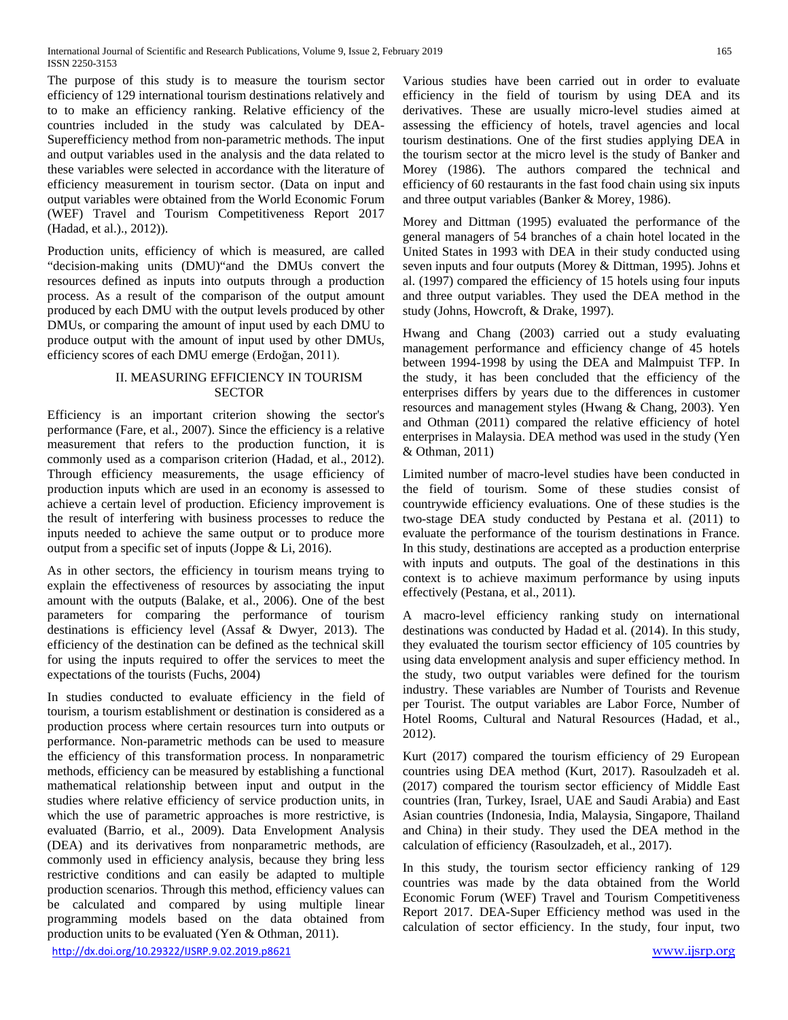The purpose of this study is to measure the tourism sector efficiency of 129 international tourism destinations relatively and to to make an efficiency ranking. Relative efficiency of the countries included in the study was calculated by DEA-Superefficiency method from non-parametric methods. The input and output variables used in the analysis and the data related to these variables were selected in accordance with the literature of efficiency measurement in tourism sector. (Data on input and output variables were obtained from the World Economic Forum (WEF) Travel and Tourism Competitiveness Report 2017 (Hadad, et al.)., 2012)).

Production units, efficiency of which is measured, are called "decision-making units (DMU)"and the DMUs convert the resources defined as inputs into outputs through a production process. As a result of the comparison of the output amount produced by each DMU with the output levels produced by other DMUs, or comparing the amount of input used by each DMU to produce output with the amount of input used by other DMUs, efficiency scores of each DMU emerge (Erdoğan, 2011).

## II. MEASURING EFFICIENCY IN TOURISM **SECTOR**

Efficiency is an important criterion showing the sector's performance (Fare, et al., 2007). Since the efficiency is a relative measurement that refers to the production function, it is commonly used as a comparison criterion (Hadad, et al., 2012). Through efficiency measurements, the usage efficiency of production inputs which are used in an economy is assessed to achieve a certain level of production. Eficiency improvement is the result of interfering with business processes to reduce the inputs needed to achieve the same output or to produce more output from a specific set of inputs (Joppe & Li, 2016).

As in other sectors, the efficiency in tourism means trying to explain the effectiveness of resources by associating the input amount with the outputs (Balake, et al., 2006). One of the best parameters for comparing the performance of tourism destinations is efficiency level (Assaf & Dwyer, 2013). The efficiency of the destination can be defined as the technical skill for using the inputs required to offer the services to meet the expectations of the tourists (Fuchs, 2004)

In studies conducted to evaluate efficiency in the field of tourism, a tourism establishment or destination is considered as a production process where certain resources turn into outputs or performance. Non-parametric methods can be used to measure the efficiency of this transformation process. In nonparametric methods, efficiency can be measured by establishing a functional mathematical relationship between input and output in the studies where relative efficiency of service production units, in which the use of parametric approaches is more restrictive, is evaluated (Barrio, et al., 2009). Data Envelopment Analysis (DEA) and its derivatives from nonparametric methods, are commonly used in efficiency analysis, because they bring less restrictive conditions and can easily be adapted to multiple production scenarios. Through this method, efficiency values can be calculated and compared by using multiple linear programming models based on the data obtained from production units to be evaluated (Yen & Othman, 2011).

<http://dx.doi.org/10.29322/IJSRP.9.02.2019.p8621> [www.ijsrp.org](http://ijsrp.org/)

Various studies have been carried out in order to evaluate efficiency in the field of tourism by using DEA and its derivatives. These are usually micro-level studies aimed at assessing the efficiency of hotels, travel agencies and local tourism destinations. One of the first studies applying DEA in the tourism sector at the micro level is the study of Banker and Morey (1986). The authors compared the technical and efficiency of 60 restaurants in the fast food chain using six inputs and three output variables (Banker & Morey, 1986).

Morey and Dittman (1995) evaluated the performance of the general managers of 54 branches of a chain hotel located in the United States in 1993 with DEA in their study conducted using seven inputs and four outputs (Morey & Dittman, 1995). Johns et al. (1997) compared the efficiency of 15 hotels using four inputs and three output variables. They used the DEA method in the study (Johns, Howcroft, & Drake, 1997).

Hwang and Chang (2003) carried out a study evaluating management performance and efficiency change of 45 hotels between 1994-1998 by using the DEA and Malmpuist TFP. In the study, it has been concluded that the efficiency of the enterprises differs by years due to the differences in customer resources and management styles (Hwang & Chang, 2003). Yen and Othman (2011) compared the relative efficiency of hotel enterprises in Malaysia. DEA method was used in the study (Yen & Othman, 2011)

Limited number of macro-level studies have been conducted in the field of tourism. Some of these studies consist of countrywide efficiency evaluations. One of these studies is the two-stage DEA study conducted by Pestana et al. (2011) to evaluate the performance of the tourism destinations in France. In this study, destinations are accepted as a production enterprise with inputs and outputs. The goal of the destinations in this context is to achieve maximum performance by using inputs effectively (Pestana, et al., 2011).

A macro-level efficiency ranking study on international destinations was conducted by Hadad et al. (2014). In this study, they evaluated the tourism sector efficiency of 105 countries by using data envelopment analysis and super efficiency method. In the study, two output variables were defined for the tourism industry. These variables are Number of Tourists and Revenue per Tourist. The output variables are Labor Force, Number of Hotel Rooms, Cultural and Natural Resources (Hadad, et al., 2012).

Kurt (2017) compared the tourism efficiency of 29 European countries using DEA method (Kurt, 2017). Rasoulzadeh et al. (2017) compared the tourism sector efficiency of Middle East countries (Iran, Turkey, Israel, UAE and Saudi Arabia) and East Asian countries (Indonesia, India, Malaysia, Singapore, Thailand and China) in their study. They used the DEA method in the calculation of efficiency (Rasoulzadeh, et al., 2017).

In this study, the tourism sector efficiency ranking of 129 countries was made by the data obtained from the World Economic Forum (WEF) Travel and Tourism Competitiveness Report 2017. DEA-Super Efficiency method was used in the calculation of sector efficiency. In the study, four input, two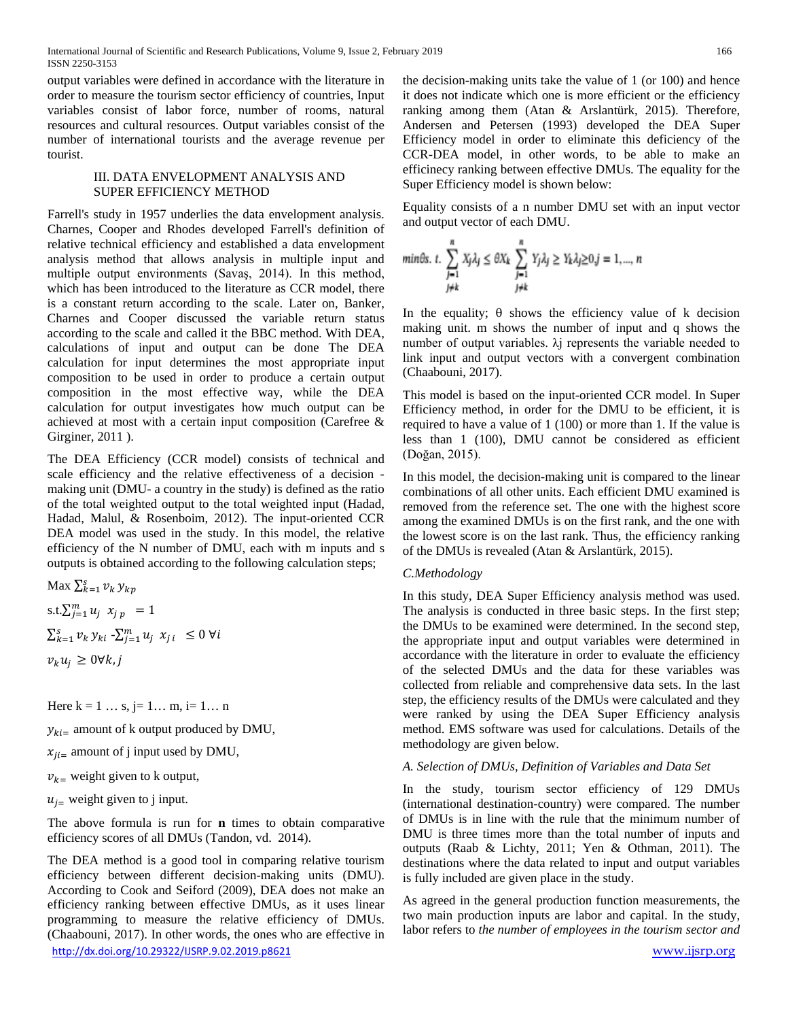output variables were defined in accordance with the literature in order to measure the tourism sector efficiency of countries, Input variables consist of labor force, number of rooms, natural resources and cultural resources. Output variables consist of the number of international tourists and the average revenue per tourist.

#### III. DATA ENVELOPMENT ANALYSIS AND SUPER EFFICIENCY METHOD

Farrell's study in 1957 underlies the data envelopment analysis. Charnes, Cooper and Rhodes developed Farrell's definition of relative technical efficiency and established a data envelopment analysis method that allows analysis in multiple input and multiple output environments (Savaş, 2014). In this method, which has been introduced to the literature as CCR model, there is a constant return according to the scale. Later on, Banker, Charnes and Cooper discussed the variable return status according to the scale and called it the BBC method. With DEA, calculations of input and output can be done The DEA calculation for input determines the most appropriate input composition to be used in order to produce a certain output composition in the most effective way, while the DEA calculation for output investigates how much output can be achieved at most with a certain input composition (Carefree & Girginer, 2011 ).

The DEA Efficiency (CCR model) consists of technical and scale efficiency and the relative effectiveness of a decision making unit (DMU- a country in the study) is defined as the ratio of the total weighted output to the total weighted input (Hadad, Hadad, Malul, & Rosenboim, 2012). The input-oriented CCR DEA model was used in the study. In this model, the relative efficiency of the N number of DMU, each with m inputs and s outputs is obtained according to the following calculation steps;

Max  $\sum_{k=1}^{S} v_k y_{kp}$ s.t. $\sum_{j=1}^{m} u_j x_{j p} = 1$  $\sum_{k=1}^{s} v_k y_{ki} - \sum_{j=1}^{m} u_j x_{j,i} \leq 0 \,\forall i$  $v_k u_i \geq 0 \forall k, j$ 

Here  $k = 1 ... s$ ,  $j = 1 ... m$ ,  $i = 1 ... n$ 

 $y_{ki}$  amount of k output produced by DMU,

 $x_{ji}$  amount of j input used by DMU,

 $v_{k}$  weight given to k output,

 $u_{i}$  weight given to j input.

The above formula is run for **n** times to obtain comparative efficiency scores of all DMUs (Tandon, vd. 2014).

<http://dx.doi.org/10.29322/IJSRP.9.02.2019.p8621> [www.ijsrp.org](http://ijsrp.org/) The DEA method is a good tool in comparing relative tourism efficiency between different decision-making units (DMU). According to Cook and Seiford (2009), DEA does not make an efficiency ranking between effective DMUs, as it uses linear programming to measure the relative efficiency of DMUs. (Chaabouni, 2017). In other words, the ones who are effective in

the decision-making units take the value of 1 (or 100) and hence it does not indicate which one is more efficient or the efficiency ranking among them (Atan & Arslantürk, 2015). Therefore, Andersen and Petersen (1993) developed the DEA Super Efficiency model in order to eliminate this deficiency of the CCR-DEA model, in other words, to be able to make an efficinecy ranking between effective DMUs. The equality for the Super Efficiency model is shown below:

Equality consists of a n number DMU set with an input vector and output vector of each DMU.

$$
\begin{array}{ll}\text{min}\theta s.\ t.\ \displaystyle\sum_{j=1}^n X_j\lambda_j\leq \theta X_k\ \displaystyle\sum_{j=1}^n Y_j\lambda_j\geq Y_k\lambda_j\geq 0, j=1,...,\ n\\ \text{with}\qquad \qquad j\neq k\end{array}
$$

In the equality;  $\theta$  shows the efficiency value of k decision making unit. m shows the number of input and q shows the number of output variables.  $λ$  i represents the variable needed to link input and output vectors with a convergent combination (Chaabouni, 2017).

This model is based on the input-oriented CCR model. In Super Efficiency method, in order for the DMU to be efficient, it is required to have a value of 1 (100) or more than 1. If the value is less than 1 (100), DMU cannot be considered as efficient (Doğan, 2015).

In this model, the decision-making unit is compared to the linear combinations of all other units. Each efficient DMU examined is removed from the reference set. The one with the highest score among the examined DMUs is on the first rank, and the one with the lowest score is on the last rank. Thus, the efficiency ranking of the DMUs is revealed (Atan & Arslantürk, 2015).

# *C.Methodology*

In this study, DEA Super Efficiency analysis method was used. The analysis is conducted in three basic steps. In the first step; the DMUs to be examined were determined. In the second step, the appropriate input and output variables were determined in accordance with the literature in order to evaluate the efficiency of the selected DMUs and the data for these variables was collected from reliable and comprehensive data sets. In the last step, the efficiency results of the DMUs were calculated and they were ranked by using the DEA Super Efficiency analysis method. EMS software was used for calculations. Details of the methodology are given below.

# *A. Selection of DMUs, Definition of Variables and Data Set*

In the study, tourism sector efficiency of 129 DMUs (international destination-country) were compared. The number of DMUs is in line with the rule that the minimum number of DMU is three times more than the total number of inputs and outputs (Raab & Lichty, 2011; Yen & Othman, 2011). The destinations where the data related to input and output variables is fully included are given place in the study.

As agreed in the general production function measurements, the two main production inputs are labor and capital. In the study, labor refers to *the number of employees in the tourism sector and*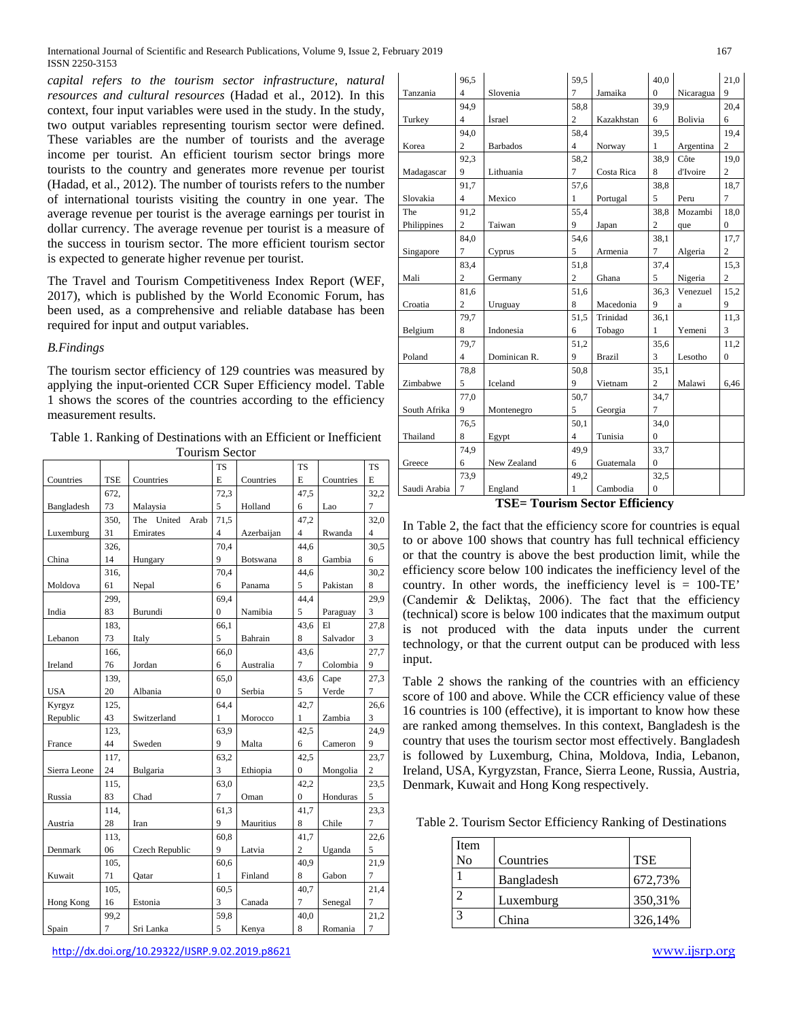*capital refers to the tourism sector infrastructure, natural resources and cultural resources* (Hadad et al., 2012). In this context, four input variables were used in the study. In the study, two output variables representing tourism sector were defined. These variables are the number of tourists and the average income per tourist. An efficient tourism sector brings more tourists to the country and generates more revenue per tourist (Hadad, et al., 2012). The number of tourists refers to the number of international tourists visiting the country in one year. The average revenue per tourist is the average earnings per tourist in dollar currency. The average revenue per tourist is a measure of the success in tourism sector. The more efficient tourism sector is expected to generate higher revenue per tourist.

The Travel and Tourism Competitiveness Index Report (WEF, 2017), which is published by the World Economic Forum, has been used, as a comprehensive and reliable database has been required for input and output variables.

#### *B.Findings*

The tourism sector efficiency of 129 countries was measured by applying the input-oriented CCR Super Efficiency model. Table 1 shows the scores of the countries according to the efficiency measurement results.

Table 1. Ranking of Destinations with an Efficient or Inefficient Tourism Sector

|              |                |                       | <b>TS</b>    |            | <b>TS</b>      |           | <b>TS</b>      |
|--------------|----------------|-----------------------|--------------|------------|----------------|-----------|----------------|
| Countries    | <b>TSE</b>     | Countries             | E            | Countries  | E              | Countries | E              |
|              | 672,           |                       | 72,3         |            | 47,5           |           | 32,2           |
| Bangladesh   | 73             | Malaysia              | 5            | Holland    | 6              | Lao       | $\overline{7}$ |
|              | 350.           | The<br>United<br>Arab | 71,5         |            | 47,2           |           | 32,0           |
| Luxemburg    | 31             | Emirates              | 4            | Azerbaijan | 4              | Rwanda    | $\overline{4}$ |
|              | 326.           |                       | 70,4         |            | 44.6           |           | 30,5           |
| China        | 14             | Hungary               | 9            | Botswana   | 8              | Gambia    | 6              |
|              | 316.           |                       | 70.4         |            | 44.6           |           | 30,2           |
| Moldova      | 61             | Nepal                 | 6            | Panama     | 5              | Pakistan  | 8              |
|              | 299.           |                       | 69,4         |            | 44,4           |           | 29,9           |
| India        | 83             | Burundi               | $\mathbf{0}$ | Namibia    | 5              | Paraguay  | 3              |
|              | 183.           |                       | 66.1         |            | 43.6           | E1        | 27,8           |
| Lebanon      | 73             | Italy                 | 5            | Bahrain    | 8              | Salvador  | 3              |
|              | 166,           |                       | 66.0         |            | 43,6           |           | 27,7           |
| Ireland      | 76             | Jordan                | 6            | Australia  | 7              | Colombia  | 9              |
|              | 139.           |                       | 65,0         |            | 43,6           | Cape      | 27,3           |
| <b>USA</b>   | 20             | Albania               | $\Omega$     | Serbia     | 5              | Verde     | $\overline{7}$ |
| Kyrgyz       | 125.           |                       | 64.4         |            | 42,7           |           | 26,6           |
| Republic     | 43             | Switzerland           | 1            | Morocco    | 1              | Zambia    | $\overline{3}$ |
|              | 123.           |                       | 63.9         |            | 42,5           |           | 24,9           |
| France       | 44             | Sweden                | 9            | Malta      | 6              | Cameron   | 9              |
|              | 117,           |                       | 63,2         |            | 42,5           |           | 23,7           |
| Sierra Leone | 24             | Bulgaria              | 3            | Ethiopia   | 0              | Mongolia  | $\overline{c}$ |
|              | 115.           |                       | 63,0         |            | 42,2           |           | 23,5           |
| Russia       | 83             | Chad                  | 7            | Oman       | $\mathbf{0}$   | Honduras  | 5              |
|              | 114.           |                       | 61,3         |            | 41,7           |           | 23,3           |
| Austria      | 28             | Iran                  | 9            | Mauritius  | 8              | Chile     | 7              |
|              | 113,           |                       | 60,8         |            | 41,7           |           | 22,6           |
| Denmark      | 06             | Czech Republic        | 9            | Latvia     | $\overline{c}$ | Uganda    | 5              |
|              | 105,           |                       | 60,6         |            | 40.9           |           | 21,9           |
| Kuwait       | 71             | Qatar                 | 1            | Finland    | 8              | Gabon     | $\overline{7}$ |
|              | 105.           |                       | 60,5         |            | 40,7           |           | 21,4           |
| Hong Kong    | 16             | Estonia               | 3            | Canada     | 7              | Senegal   | $\tau$         |
|              | 99,2           |                       | 59,8         |            | 40,0           |           | 21,2           |
| Spain        | $\overline{7}$ | Sri Lanka             | 5            | Kenya      | 8              | Romania   | $\sqrt{ }$     |

|              | 96,5           |                                | 59,5           |               | 40.0           |           | 21,0           |
|--------------|----------------|--------------------------------|----------------|---------------|----------------|-----------|----------------|
| Tanzania     | 4              | Slovenia                       | $\overline{7}$ | Jamaika       | $\Omega$       | Nicaragua | 9              |
|              | 94.9           |                                | 58,8           |               | 39.9           |           | 20.4           |
| Turkey       | 4              | İsrael                         | $\overline{c}$ | Kazakhstan    | 6              | Bolivia   | 6              |
|              | 94.0           |                                | 58.4           |               | 39.5           |           | 19.4           |
| Korea        | $\overline{c}$ | <b>Barbados</b>                | $\overline{4}$ | Norway        | 1              | Argentina | $\overline{c}$ |
|              | 92,3           |                                | 58,2           |               | 38,9           | Côte      | 19,0           |
| Madagascar   | 9              | Lithuania                      | $\overline{7}$ | Costa Rica    | 8              | d'Ivoire  | $\overline{c}$ |
|              | 91,7           |                                | 57,6           |               | 38,8           |           | 18,7           |
| Slovakia     | $\overline{4}$ | Mexico                         | $\mathbf{1}$   | Portugal      | 5              | Peru      | $\overline{7}$ |
| The          | 91,2           |                                | 55,4           |               | 38,8           | Mozambi   | 18,0           |
| Philippines  | $\overline{c}$ | Taiwan                         | 9              | Japan         | 2              | que       | 0              |
|              | 84,0           |                                | 54,6           |               | 38,1           |           | 17,7           |
| Singapore    | $\overline{7}$ | Cyprus                         | 5              | Armenia       | $\overline{7}$ | Algeria   | $\overline{c}$ |
|              | 83,4           |                                | 51,8           |               | 37,4           |           | 15,3           |
| Mali         | $\overline{c}$ | Germany                        | $\overline{c}$ | Ghana         | 5              | Nigeria   | $\overline{c}$ |
|              | 81,6           |                                | 51,6           |               | 36,3           | Venezuel  | 15,2           |
| Croatia      | 2              | Uruguay                        | 8              | Macedonia     | 9              | a         | 9              |
|              | 79,7           |                                | 51.5           | Trinidad      | 36,1           |           | 11,3           |
| Belgium      | 8              | Indonesia                      | 6              | Tobago        | 1              | Yemeni    | 3              |
|              | 79.7           |                                | 51.2           |               | 35,6           |           | 11,2           |
| Poland       | 4              | Dominican R.                   | 9              | <b>Brazil</b> | 3              | Lesotho   | $\mathbf{0}$   |
|              | 78,8           |                                | 50.8           |               | 35.1           |           |                |
| Zimbabwe     | 5              | Iceland                        | 9              | Vietnam       | $\overline{c}$ | Malawi    | 6,46           |
|              | 77,0           |                                | 50,7           |               | 34,7           |           |                |
| South Afrika | 9              | Montenegro                     | 5              | Georgia       | $\overline{7}$ |           |                |
|              | 76,5           |                                | 50,1           |               | 34,0           |           |                |
| Thailand     | 8              | Egypt                          | $\overline{4}$ | Tunisia       | $\overline{0}$ |           |                |
|              | 74,9           |                                | 49.9           |               | 33,7           |           |                |
| Greece       | 6              | New Zealand                    | 6              | Guatemala     | $\mathbf{0}$   |           |                |
|              | 73,9           |                                | 49.2           |               | 32,5           |           |                |
| Saudi Arabia | $\tau$         | England                        | 1              | Cambodia      | 0              |           |                |
|              |                | TCF- Tourism Soctor Ffficionar |                |               |                |           |                |

**TSE= Tourism Sector Efficiency**

In Table 2, the fact that the efficiency score for countries is equal to or above 100 shows that country has full technical efficiency or that the country is above the best production limit, while the efficiency score below 100 indicates the inefficiency level of the country. In other words, the inefficiency level is  $= 100$ -TE' (Candemir & Deliktaş, 2006). The fact that the efficiency (technical) score is below 100 indicates that the maximum output is not produced with the data inputs under the current technology, or that the current output can be produced with less input.

Table 2 shows the ranking of the countries with an efficiency score of 100 and above. While the CCR efficiency value of these 16 countries is 100 (effective), it is important to know how these are ranked among themselves. In this context, Bangladesh is the country that uses the tourism sector most effectively. Bangladesh is followed by Luxemburg, China, Moldova, India, Lebanon, Ireland, USA, Kyrgyzstan, France, Sierra Leone, Russia, Austria, Denmark, Kuwait and Hong Kong respectively.

Table 2. Tourism Sector Efficiency Ranking of Destinations

| Item |            |            |
|------|------------|------------|
| No   | Countries  | <b>TSE</b> |
|      | Bangladesh | 672,73%    |
|      | Luxemburg  | 350,31%    |
|      | China      | 326,14%    |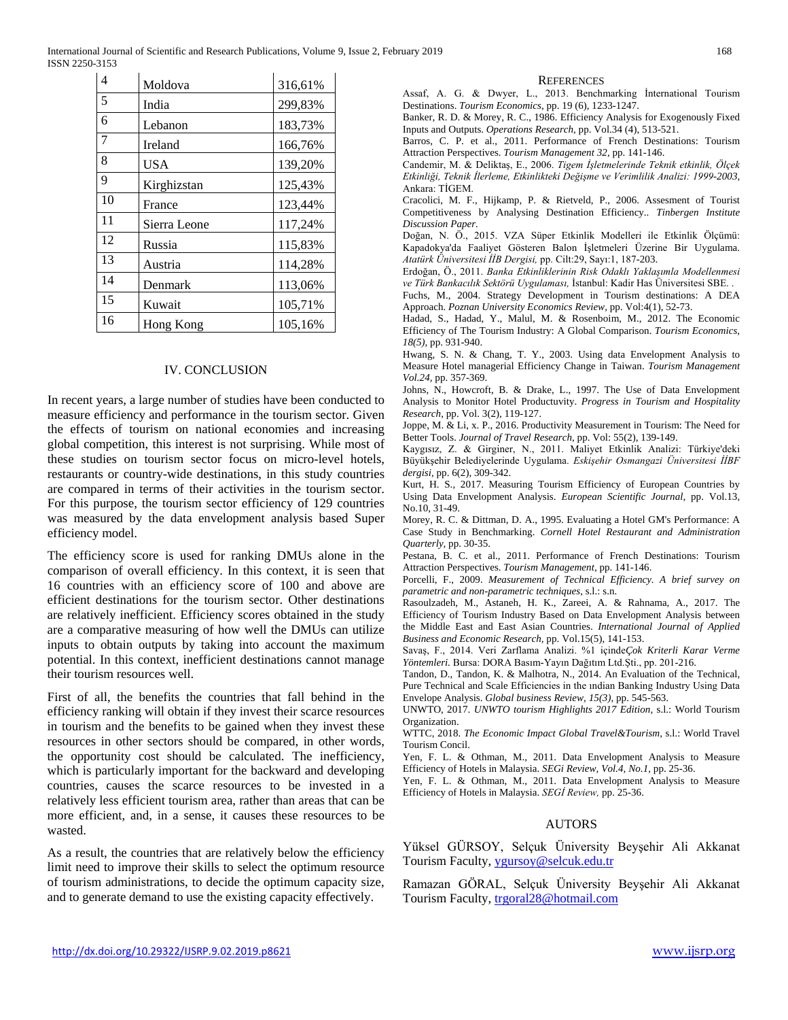International Journal of Scientific and Research Publications, Volume 9, Issue 2, February 2019 168 ISSN 2250-3153

| 4              | Moldova      | 316,61% |
|----------------|--------------|---------|
| 5              | India        | 299,83% |
| 6              | Lebanon      | 183,73% |
| $\overline{7}$ | Ireland      | 166,76% |
| 8              | <b>USA</b>   | 139,20% |
| 9              | Kirghizstan  | 125,43% |
| 10             | France       | 123,44% |
| 11             | Sierra Leone | 117,24% |
| 12             | Russia       | 115,83% |
| 13             | Austria      | 114,28% |
| 14             | Denmark      | 113,06% |
| 15             | Kuwait       | 105,71% |
| 16             | Hong Kong    | 105,16% |

#### IV. CONCLUSION

In recent years, a large number of studies have been conducted to measure efficiency and performance in the tourism sector. Given the effects of tourism on national economies and increasing global competition, this interest is not surprising. While most of these studies on tourism sector focus on micro-level hotels, restaurants or country-wide destinations, in this study countries are compared in terms of their activities in the tourism sector. For this purpose, the tourism sector efficiency of 129 countries was measured by the data envelopment analysis based Super efficiency model.

The efficiency score is used for ranking DMUs alone in the comparison of overall efficiency. In this context, it is seen that 16 countries with an efficiency score of 100 and above are efficient destinations for the tourism sector. Other destinations are relatively inefficient. Efficiency scores obtained in the study are a comparative measuring of how well the DMUs can utilize inputs to obtain outputs by taking into account the maximum potential. In this context, inefficient destinations cannot manage their tourism resources well.

First of all, the benefits the countries that fall behind in the efficiency ranking will obtain if they invest their scarce resources in tourism and the benefits to be gained when they invest these resources in other sectors should be compared, in other words, the opportunity cost should be calculated. The inefficiency, which is particularly important for the backward and developing countries, causes the scarce resources to be invested in a relatively less efficient tourism area, rather than areas that can be more efficient, and, in a sense, it causes these resources to be wasted.

As a result, the countries that are relatively below the efficiency limit need to improve their skills to select the optimum resource of tourism administrations, to decide the optimum capacity size, and to generate demand to use the existing capacity effectively.

#### **REFERENCES**

Assaf, A. G. & Dwyer, L., 2013. Benchmarking İnternational Tourism Destinations. *Tourism Economics,* pp. 19 (6), 1233-1247.

Banker, R. D. & Morey, R. C., 1986. Efficiency Analysis for Exogenously Fixed Inputs and Outputs. *Operations Research,* pp. Vol.34 (4), 513-521.

Barros, C. P. et al., 2011. Performance of French Destinations: Tourism Attraction Perspectives. *Tourism Management 32,* pp. 141-146.

Candemir, M. & Deliktaş, E., 2006. *Tigem İşletmelerinde Teknik etkinlik, Ölçek Etkinliği, Teknik İlerleme, Etkinlikteki Değişme ve Verimlilik Analizi: 1999-2003,*  Ankara: TİGEM.

Cracolici, M. F., Hijkamp, P. & Rietveld, P., 2006. Assesment of Tourist Competitiveness by Analysing Destination Efficiency.. *Tinbergen Institute Discussion Paper.*

Doğan, N. Ö., 2015. VZA Süper Etkinlik Modelleri ile Etkinlik Ölçümü: Kapadokya'da Faaliyet Gösteren Balon İşletmeleri Üzerine Bir Uygulama. *Atatürk Üniversitesi İİB Dergisi,* pp. Cilt:29, Sayı:1, 187-203.

Erdoğan, Ö., 2011. *Banka Etkinliklerinin Risk Odaklı Yaklaşımla Modellenmesi ve Türk Bankacılık Sektörü Uygulaması,* İstanbul: Kadir Has Üniversitesi SBE. .

Fuchs, M., 2004. Strategy Development in Tourism destinations: A DEA Approach. *Poznan University Economics Review,* pp. Vol:4(1), 52-73.

Hadad, S., Hadad, Y., Malul, M. & Rosenboim, M., 2012. The Economic Efficiency of The Tourism Industry: A Global Comparison. *Tourism Economics, 18(5),* pp. 931-940.

Hwang, S. N. & Chang, T. Y., 2003. Using data Envelopment Analysis to Measure Hotel managerial Efficiency Change in Taiwan. *Tourism Management Vol.24,* pp. 357-369.

Johns, N., Howcroft, B. & Drake, L., 1997. The Use of Data Envelopment Analysis to Monitor Hotel Productuvity. *Progress in Tourism and Hospitality Research,* pp. Vol. 3(2), 119-127.

Joppe, M. & Li, x. P., 2016. Productivity Measurement in Tourism: The Need for Better Tools. *Journal of Travel Research,* pp. Vol: 55(2), 139-149.

Kaygısız, Z. & Girginer, N., 2011. Maliyet Etkinlik Analizi: Türkiye'deki Büyükşehir Belediyelerinde Uygulama. *Eskişehir Osmangazi Üniversitesi İİBF dergisi,* pp. 6(2), 309-342.

Kurt, H. S., 2017. Measuring Tourism Efficiency of European Countries by Using Data Envelopment Analysis. *European Scientific Journal,* pp. Vol.13, No.10, 31-49.

Morey, R. C. & Dittman, D. A., 1995. Evaluating a Hotel GM's Performance: A Case Study in Benchmarking. *Cornell Hotel Restaurant and Administration Quarterly,* pp. 30-35.

Pestana, B. C. et al., 2011. Performance of French Destinations: Tourism Attraction Perspectives. *Tourism Management,* pp. 141-146.

Porcelli, F., 2009. *Measurement of Technical Efficiency. A brief survey on parametric and non-parametric techniques,* s.l.: s.n.

Rasoulzadeh, M., Astaneh, H. K., Zareei, A. & Rahnama, A., 2017. The Efficiency of Tourism Industry Based on Data Envelopment Analysis between the Middle East and East Asian Countries. *International Journal of Applied Business and Economic Research,* pp. Vol.15(5), 141-153.

Savaş, F., 2014. Veri Zarflama Analizi. %1 içinde*Çok Kriterli Karar Verme Yöntemleri.* Bursa: DORA Basım-Yayın Dağıtım Ltd.Şti., pp. 201-216.

Tandon, D., Tandon, K. & Malhotra, N., 2014. An Evaluation of the Technical, Pure Technical and Scale Efficiencies in the ındian Banking Industry Using Data Envelope Analysis. *Global business Review, 15(3),* pp. 545-563.

UNWTO, 2017. *UNWTO tourism Highlights 2017 Edition,* s.l.: World Tourism Organization.

WTTC, 2018. *The Economic Impact Global Travel&Tourism,* s.l.: World Travel Tourism Concil.

Yen, F. L. & Othman, M., 2011. Data Envelopment Analysis to Measure Efficiency of Hotels in Malaysia. *SEGi Review, Vol.4, No.1,* pp. 25-36.

Yen, F. L. & Othman, M., 2011. Data Envelopment Analysis to Measure Efficiency of Hotels in Malaysia. *SEGİ Review,* pp. 25-36.

#### AUTORS

Yüksel GÜRSOY, Selçuk Üniversity Beyşehir Ali Akkanat Tourism Faculty, [ygursoy@selcuk.edu.tr](mailto:ygursoy@selcuk.edu.tr)

Ramazan GÖRAL, Selçuk Üniversity Beyşehir Ali Akkanat Tourism Faculty, [trgoral28@hotmail.com](mailto:trgoral28@hotmail.com)